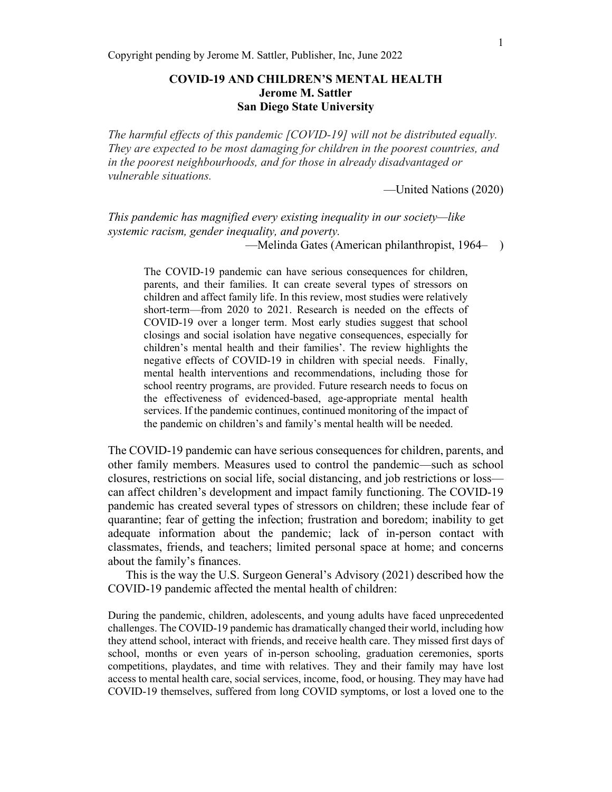# **COVID-19 AND CHILDREN'S MENTAL HEALTH Jerome M. Sattler San Diego State University**

*The harmful effects of this pandemic [COVID-19] will not be distributed equally. They are expected to be most damaging for children in the poorest countries, and in the poorest neighbourhoods, and for those in already disadvantaged or vulnerable situations.*

—United Nations (2020)

*This pandemic has magnified every existing inequality in our society—like systemic racism, gender inequality, and poverty.*

—Melinda Gates (American philanthropist, 1964– )

The COVID-19 pandemic can have serious consequences for children, parents, and their families. It can create several types of stressors on children and affect family life. In this review, most studies were relatively short-term—from 2020 to 2021. Research is needed on the effects of COVID-19 over a longer term. Most early studies suggest that school closings and social isolation have negative consequences, especially for children's mental health and their families'. The review highlights the negative effects of COVID-19 in children with special needs. Finally, mental health interventions and recommendations, including those for school reentry programs, are provided. Future research needs to focus on the effectiveness of evidenced-based, age-appropriate mental health services. If the pandemic continues, continued monitoring of the impact of the pandemic on children's and family's mental health will be needed.

The COVID-19 pandemic can have serious consequences for children, parents, and other family members. Measures used to control the pandemic—such as school closures, restrictions on social life, social distancing, and job restrictions or loss can affect children's development and impact family functioning. The COVID-19 pandemic has created several types of stressors on children; these include fear of quarantine; fear of getting the infection; frustration and boredom; inability to get adequate information about the pandemic; lack of in-person contact with classmates, friends, and teachers; limited personal space at home; and concerns about the family's finances.

This is the way the U.S. Surgeon General's Advisory (2021) described how the COVID-19 pandemic affected the mental health of children:

During the pandemic, children, adolescents, and young adults have faced unprecedented challenges. The COVID-19 pandemic has dramatically changed their world, including how they attend school, interact with friends, and receive health care. They missed first days of school, months or even years of in-person schooling, graduation ceremonies, sports competitions, playdates, and time with relatives. They and their family may have lost access to mental health care, social services, income, food, or housing. They may have had COVID-19 themselves, suffered from long COVID symptoms, or lost a loved one to the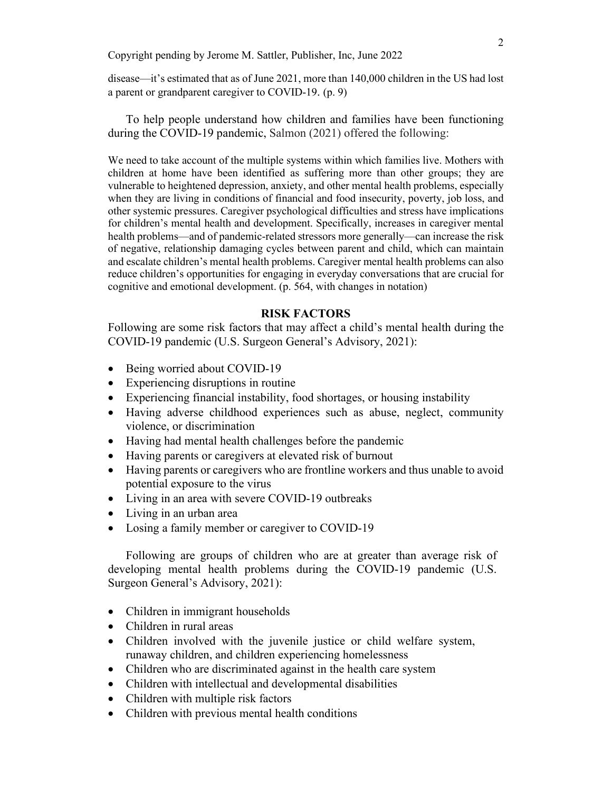disease—it's estimated that as of June 2021, more than 140,000 children in the US had lost a parent or grandparent caregiver to COVID-19. (p. 9)

To help people understand how children and families have been functioning during the COVID-19 pandemic, Salmon (2021) offered the following:

We need to take account of the multiple systems within which families live. Mothers with children at home have been identified as suffering more than other groups; they are vulnerable to heightened depression, anxiety, and other mental health problems, especially when they are living in conditions of financial and food insecurity, poverty, job loss, and other systemic pressures. Caregiver psychological difficulties and stress have implications for children's mental health and development. Specifically, increases in caregiver mental health problems—and of pandemic-related stressors more generally—can increase the risk of negative, relationship damaging cycles between parent and child, which can maintain and escalate children's mental health problems. Caregiver mental health problems can also reduce children's opportunities for engaging in everyday conversations that are crucial for cognitive and emotional development. (p. 564, with changes in notation)

### **RISK FACTORS**

Following are some risk factors that may affect a child's mental health during the COVID-19 pandemic (U.S. Surgeon General's Advisory, 2021):

- Being worried about COVID-19
- Experiencing disruptions in routine
- Experiencing financial instability, food shortages, or housing instability
- Having adverse childhood experiences such as abuse, neglect, community violence, or discrimination
- Having had mental health challenges before the pandemic
- Having parents or caregivers at elevated risk of burnout
- Having parents or caregivers who are frontline workers and thus unable to avoid potential exposure to the virus
- Living in an area with severe COVID-19 outbreaks
- Living in an urban area
- Losing a family member or caregiver to COVID-19

Following are groups of children who are at greater than average risk of developing mental health problems during the COVID-19 pandemic (U.S. Surgeon General's Advisory, 2021):

- Children in immigrant households
- Children in rural areas
- Children involved with the juvenile justice or child welfare system, runaway children, and children experiencing homelessness
- Children who are discriminated against in the health care system
- Children with intellectual and developmental disabilities
- Children with multiple risk factors
- Children with previous mental health conditions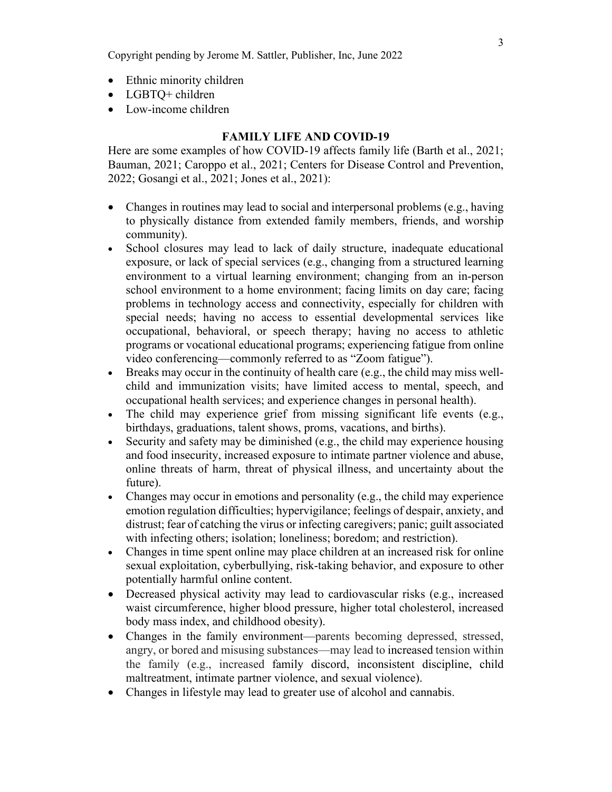- Ethnic minority children
- LGBTQ+ children
- Low-income children

#### **FAMILY LIFE AND COVID-19**

Here are some examples of how COVID-19 affects family life (Barth et al., 2021; Bauman, 2021; Caroppo et al., 2021; Centers for Disease Control and Prevention, 2022; Gosangi et al., 2021; Jones et al., 2021):

- Changes in routines may lead to social and interpersonal problems (e.g., having to physically distance from extended family members, friends, and worship community).
- School closures may lead to lack of daily structure, inadequate educational exposure, or lack of special services (e.g., changing from a structured learning environment to a virtual learning environment; changing from an in-person school environment to a home environment; facing limits on day care; facing problems in technology access and connectivity, especially for children with special needs; having no access to essential developmental services like occupational, behavioral, or speech therapy; having no access to athletic programs or vocational educational programs; experiencing fatigue from online video conferencing—commonly referred to as "Zoom fatigue").
- Breaks may occur in the continuity of health care (e.g., the child may miss wellchild and immunization visits; have limited access to mental, speech, and occupational health services; and experience changes in personal health).
- The child may experience grief from missing significant life events (e.g., birthdays, graduations, talent shows, proms, vacations, and births).
- Security and safety may be diminished (e.g., the child may experience housing and food insecurity, increased exposure to intimate partner violence and abuse, online threats of harm, threat of physical illness, and uncertainty about the future).
- Changes may occur in emotions and personality  $(e.g., the child may experience)$ emotion regulation difficulties; hypervigilance; feelings of despair, anxiety, and distrust; fear of catching the virus or infecting caregivers; panic; guilt associated with infecting others; isolation; loneliness; boredom; and restriction).
- Changes in time spent online may place children at an increased risk for online sexual exploitation, cyberbullying, risk-taking behavior, and exposure to other potentially harmful online content.
- Decreased physical activity may lead to cardiovascular risks (e.g., increased waist circumference, higher blood pressure, higher total cholesterol, increased body mass index, and childhood obesity).
- Changes in the family environment—parents becoming depressed, stressed, angry, or bored and misusing substances—may lead to increased tension within the family (e.g., increased family discord, inconsistent discipline, child maltreatment, intimate partner violence, and sexual violence).
- Changes in lifestyle may lead to greater use of alcohol and cannabis.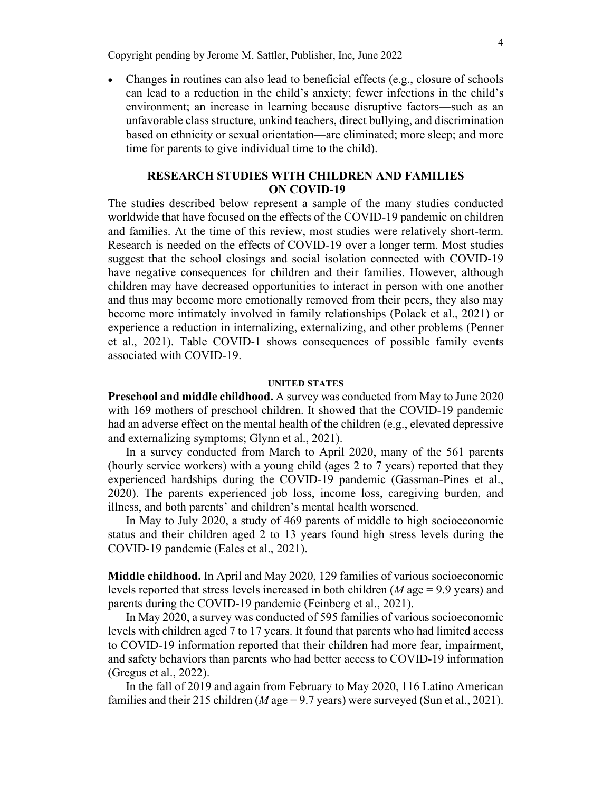• Changes in routines can also lead to beneficial effects (e.g., closure of schools can lead to a reduction in the child's anxiety; fewer infections in the child's environment; an increase in learning because disruptive factors—such as an unfavorable class structure, unkind teachers, direct bullying, and discrimination based on ethnicity or sexual orientation—are eliminated; more sleep; and more time for parents to give individual time to the child).

## **RESEARCH STUDIES WITH CHILDREN AND FAMILIES ON COVID-19**

The studies described below represent a sample of the many studies conducted worldwide that have focused on the effects of the COVID-19 pandemic on children and families. At the time of this review, most studies were relatively short-term. Research is needed on the effects of COVID-19 over a longer term. Most studies suggest that the school closings and social isolation connected with COVID-19 have negative consequences for children and their families. However, although children may have decreased opportunities to interact in person with one another and thus may become more emotionally removed from their peers, they also may become more intimately involved in family relationships (Polack et al., 2021) or experience a reduction in internalizing, externalizing, and other problems (Penner et al., 2021). Table COVID-1 shows consequences of possible family events associated with COVID-19.

#### **UNITED STATES**

**Preschool and middle childhood.** A survey was conducted from May to June 2020 with 169 mothers of preschool children. It showed that the COVID-19 pandemic had an adverse effect on the mental health of the children (e.g., elevated depressive and externalizing symptoms; Glynn et al., 2021).

In a survey conducted from March to April 2020, many of the 561 parents (hourly service workers) with a young child (ages 2 to 7 years) reported that they experienced hardships during the COVID-19 pandemic (Gassman-Pines et al., 2020). The parents experienced job loss, income loss, caregiving burden, and illness, and both parents' and children's mental health worsened.

In May to July 2020, a study of 469 parents of middle to high socioeconomic status and their children aged 2 to 13 years found high stress levels during the COVID-19 pandemic (Eales et al., 2021).

**Middle childhood.** In April and May 2020, 129 families of various socioeconomic levels reported that stress levels increased in both children (*M* age = 9.9 years) and parents during the COVID-19 pandemic (Feinberg et al., 2021).

In May 2020, a survey was conducted of 595 families of various socioeconomic levels with children aged 7 to 17 years. It found that parents who had limited access to COVID-19 information reported that their children had more fear, impairment, and safety behaviors than parents who had better access to COVID-19 information (Gregus et al., 2022).

In the fall of 2019 and again from February to May 2020, 116 Latino American families and their 215 children (*M* age = 9.7 years) were surveyed (Sun et al., 2021).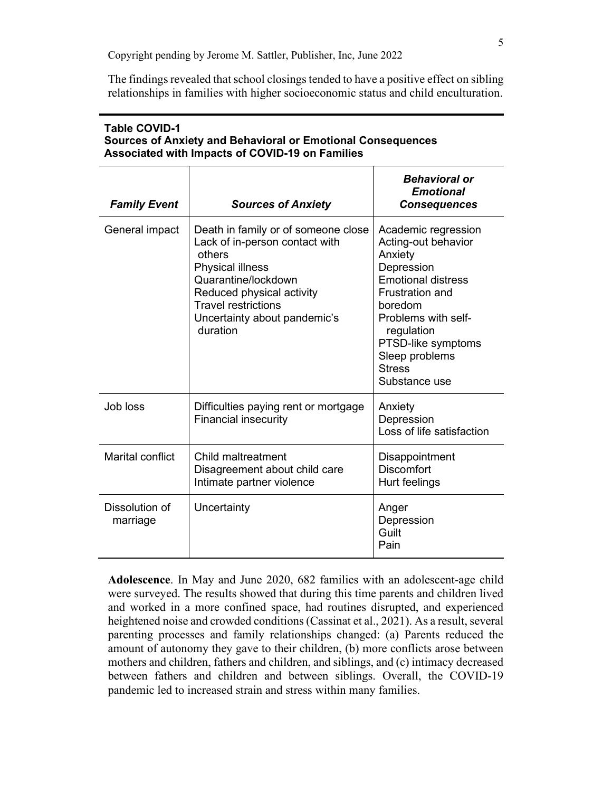The findings revealed that school closings tended to have a positive effect on sibling relationships in families with higher socioeconomic status and child enculturation.

| Associated with impacts of COVID-19 on Families |                                                                                                                                                                                                                                          |                                                                                                                                                                                                                                                      |
|-------------------------------------------------|------------------------------------------------------------------------------------------------------------------------------------------------------------------------------------------------------------------------------------------|------------------------------------------------------------------------------------------------------------------------------------------------------------------------------------------------------------------------------------------------------|
| <b>Family Event</b>                             | <b>Sources of Anxiety</b>                                                                                                                                                                                                                | <b>Behavioral or</b><br><b>Emotional</b><br><b>Consequences</b>                                                                                                                                                                                      |
| General impact                                  | Death in family or of someone close<br>Lack of in-person contact with<br>others<br><b>Physical illness</b><br>Quarantine/lockdown<br>Reduced physical activity<br><b>Travel restrictions</b><br>Uncertainty about pandemic's<br>duration | Academic regression<br>Acting-out behavior<br>Anxiety<br>Depression<br><b>Emotional distress</b><br><b>Frustration and</b><br>boredom<br>Problems with self-<br>regulation<br>PTSD-like symptoms<br>Sleep problems<br><b>Stress</b><br>Substance use |
| Job loss                                        | Difficulties paying rent or mortgage<br><b>Financial insecurity</b>                                                                                                                                                                      | Anxiety<br>Depression<br>Loss of life satisfaction                                                                                                                                                                                                   |
| <b>Marital conflict</b>                         | Child maltreatment<br>Disagreement about child care<br>Intimate partner violence                                                                                                                                                         | Disappointment<br><b>Discomfort</b><br>Hurt feelings                                                                                                                                                                                                 |
| Dissolution of<br>marriage                      | Uncertainty                                                                                                                                                                                                                              | Anger<br>Depression<br>Guilt<br>Pain                                                                                                                                                                                                                 |

## **Table COVID-1 Sources of Anxiety and Behavioral or Emotional Consequences Associated with Impacts of COVID-19 on Families**

**Adolescence**. In May and June 2020, 682 families with an adolescent-age child were surveyed. The results showed that during this time parents and children lived and worked in a more confined space, had routines disrupted, and experienced heightened noise and crowded conditions (Cassinat et al., 2021). As a result, several parenting processes and family relationships changed: (a) Parents reduced the amount of autonomy they gave to their children, (b) more conflicts arose between mothers and children, fathers and children, and siblings, and (c) intimacy decreased between fathers and children and between siblings. Overall, the COVID-19 pandemic led to increased strain and stress within many families.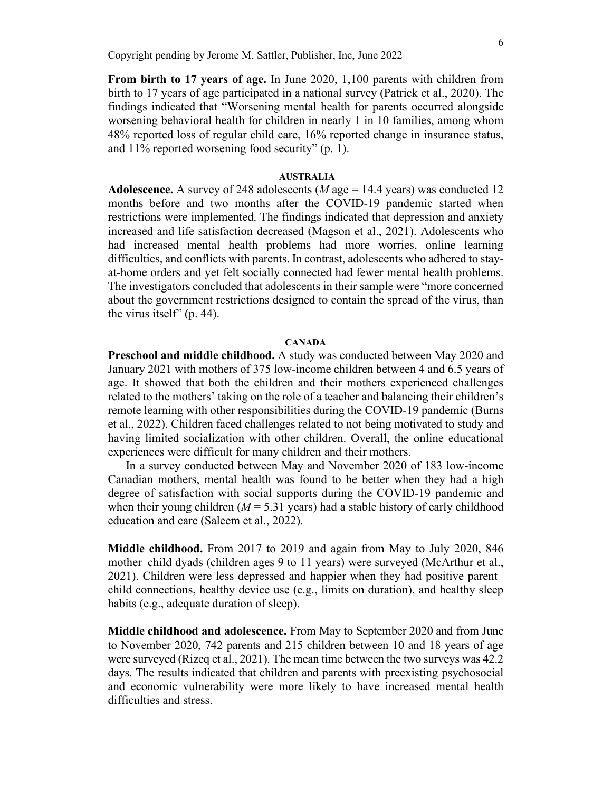**From birth to 17 years of age.** In June 2020, 1,100 parents with children from birth to 17 years of age participated in a national survey (Patrick et al., 2020). The findings indicated that "Worsening mental health for parents occurred alongside worsening behavioral health for children in nearly 1 in 10 families, among whom 48% reported loss of regular child care, 16% reported change in insurance status, and 11% reported worsening food security" (p. 1).

#### **AUSTRALIA**

**Adolescence.** A survey of 248 adolescents (*M* age = 14.4 years) was conducted 12 months before and two months after the COVID-19 pandemic started when restrictions were implemented. The findings indicated that depression and anxiety increased and life satisfaction decreased (Magson et al., 2021). Adolescents who had increased mental health problems had more worries, online learning difficulties, and conflicts with parents. In contrast, adolescents who adhered to stayat-home orders and yet felt socially connected had fewer mental health problems. The investigators concluded that adolescents in their sample were "more concerned about the government restrictions designed to contain the spread of the virus, than the virus itself" (p. 44).

### **CANADA**

**Preschool and middle childhood.** A study was conducted between May 2020 and January 2021 with mothers of 375 low-income children between 4 and 6.5 years of age. It showed that both the children and their mothers experienced challenges related to the mothers' taking on the role of a teacher and balancing their children's remote learning with other responsibilities during the COVID-19 pandemic (Burns et al., 2022). Children faced challenges related to not being motivated to study and having limited socialization with other children. Overall, the online educational experiences were difficult for many children and their mothers.

In a survey conducted between May and November 2020 of 183 low-income Canadian mothers, mental health was found to be better when they had a high degree of satisfaction with social supports during the COVID-19 pandemic and when their young children  $(M = 5.31$  years) had a stable history of early childhood education and care (Saleem et al., 2022).

**Middle childhood.** From 2017 to 2019 and again from May to July 2020, 846 mother–child dyads (children ages 9 to 11 years) were surveyed (McArthur et al., 2021). Children were less depressed and happier when they had positive parent– child connections, healthy device use (e.g., limits on duration), and healthy sleep habits (e.g., adequate duration of sleep).

**Middle childhood and adolescence.** From May to September 2020 and from June to November 2020, 742 parents and 215 children between 10 and 18 years of age were surveyed (Rizeq et al., 2021). The mean time between the two surveys was 42.2 days. The results indicated that children and parents with preexisting psychosocial and economic vulnerability were more likely to have increased mental health difficulties and stress.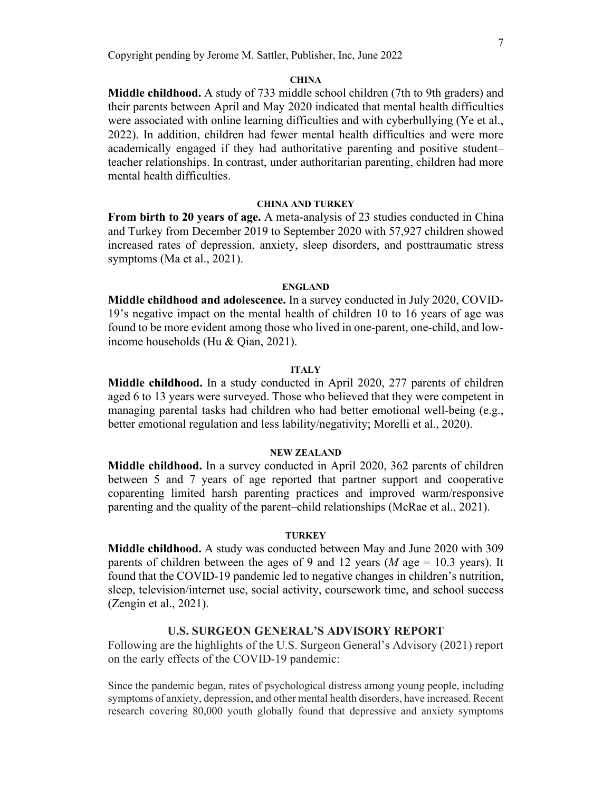#### **CHINA**

**Middle childhood.** A study of 733 middle school children (7th to 9th graders) and their parents between April and May 2020 indicated that mental health difficulties were associated with online learning difficulties and with cyberbullying (Ye et al., 2022). In addition, children had fewer mental health difficulties and were more academically engaged if they had authoritative parenting and positive student– teacher relationships. In contrast, under authoritarian parenting, children had more mental health difficulties.

#### **CHINA AND TURKEY**

**From birth to 20 years of age.** A meta-analysis of 23 studies conducted in China and Turkey from December 2019 to September 2020 with 57,927 children showed increased rates of depression, anxiety, sleep disorders, and posttraumatic stress symptoms (Ma et al., 2021).

#### **ENGLAND**

**Middle childhood and adolescence.** In a survey conducted in July 2020, COVID-19's negative impact on the mental health of children 10 to 16 years of age was found to be more evident among those who lived in one-parent, one-child, and lowincome households (Hu & Qian, 2021).

#### **ITALY**

**Middle childhood.** In a study conducted in April 2020, 277 parents of children aged 6 to 13 years were surveyed. Those who believed that they were competent in managing parental tasks had children who had better emotional well-being (e.g., better emotional regulation and less lability/negativity; Morelli et al., 2020).

### **NEW ZEALAND**

**Middle childhood.** In a survey conducted in April 2020, 362 parents of children between 5 and 7 years of age reported that partner support and cooperative coparenting limited harsh parenting practices and improved warm/responsive parenting and the quality of the parent–child relationships (McRae et al., 2021).

#### **TURKEY**

**Middle childhood.** A study was conducted between May and June 2020 with 309 parents of children between the ages of 9 and 12 years ( $M$  age = 10.3 years). It found that the COVID-19 pandemic led to negative changes in children's nutrition, sleep, television/internet use, social activity, coursework time, and school success (Zengin et al., 2021).

### **U.S. SURGEON GENERAL'S ADVISORY REPORT**

Following are the highlights of the U.S. Surgeon General's Advisory (2021) report on the early effects of the COVID-19 pandemic:

Since the pandemic began, rates of psychological distress among young people, including symptoms of anxiety, depression, and other mental health disorders, have increased. Recent research covering 80,000 youth globally found that depressive and anxiety symptoms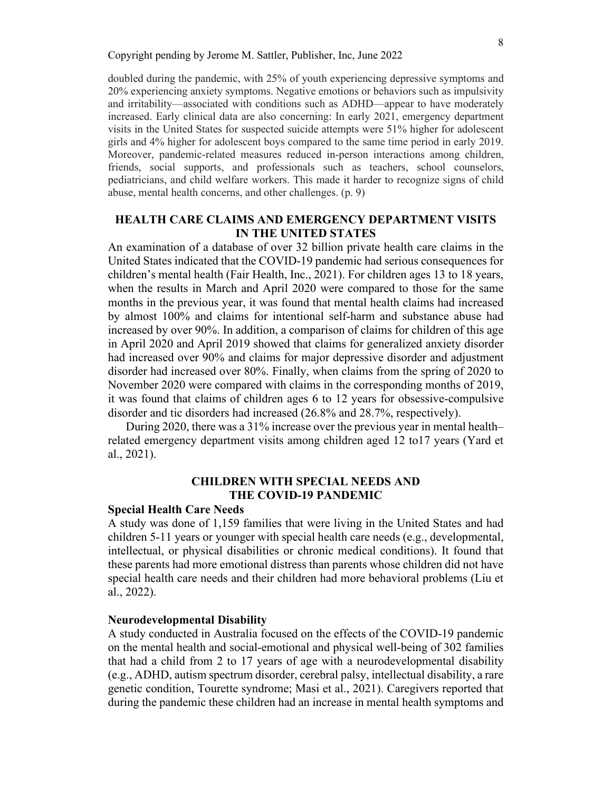doubled during the pandemic, with 25% of youth experiencing depressive symptoms and 20% experiencing anxiety symptoms. Negative emotions or behaviors such as impulsivity and irritability—associated with conditions such as ADHD—appear to have moderately increased. Early clinical data are also concerning: In early 2021, emergency department visits in the United States for suspected suicide attempts were 51% higher for adolescent girls and 4% higher for adolescent boys compared to the same time period in early 2019. Moreover, pandemic-related measures reduced in-person interactions among children, friends, social supports, and professionals such as teachers, school counselors, pediatricians, and child welfare workers. This made it harder to recognize signs of child abuse, mental health concerns, and other challenges. (p. 9)

## **HEALTH CARE CLAIMS AND EMERGENCY DEPARTMENT VISITS IN THE UNITED STATES**

An examination of a database of over 32 billion private health care claims in the United States indicated that the COVID-19 pandemic had serious consequences for children's mental health (Fair Health, Inc., 2021). For children ages 13 to 18 years, when the results in March and April 2020 were compared to those for the same months in the previous year, it was found that mental health claims had increased by almost 100% and claims for intentional self-harm and substance abuse had increased by over 90%. In addition, a comparison of claims for children of this age in April 2020 and April 2019 showed that claims for generalized anxiety disorder had increased over 90% and claims for major depressive disorder and adjustment disorder had increased over 80%. Finally, when claims from the spring of 2020 to November 2020 were compared with claims in the corresponding months of 2019, it was found that claims of children ages 6 to 12 years for obsessive-compulsive disorder and tic disorders had increased (26.8% and 28.7%, respectively).

During 2020, there was a 31% increase over the previous year in mental health– related emergency department visits among children aged 12 to17 years (Yard et al., 2021).

## **CHILDREN WITH SPECIAL NEEDS AND THE COVID-19 PANDEMIC**

#### **Special Health Care Needs**

A study was done of 1,159 families that were living in the United States and had children 5-11 years or younger with special health care needs (e.g., developmental, intellectual, or physical disabilities or chronic medical conditions). It found that these parents had more emotional distress than parents whose children did not have special health care needs and their children had more behavioral problems (Liu et al., 2022).

#### **Neurodevelopmental Disability**

A study conducted in Australia focused on the effects of the COVID-19 pandemic on the mental health and social-emotional and physical well-being of 302 families that had a child from 2 to 17 years of age with a neurodevelopmental disability (e.g., ADHD, autism spectrum disorder, cerebral palsy, intellectual disability, a rare genetic condition, Tourette syndrome; Masi et al., 2021). Caregivers reported that during the pandemic these children had an increase in mental health symptoms and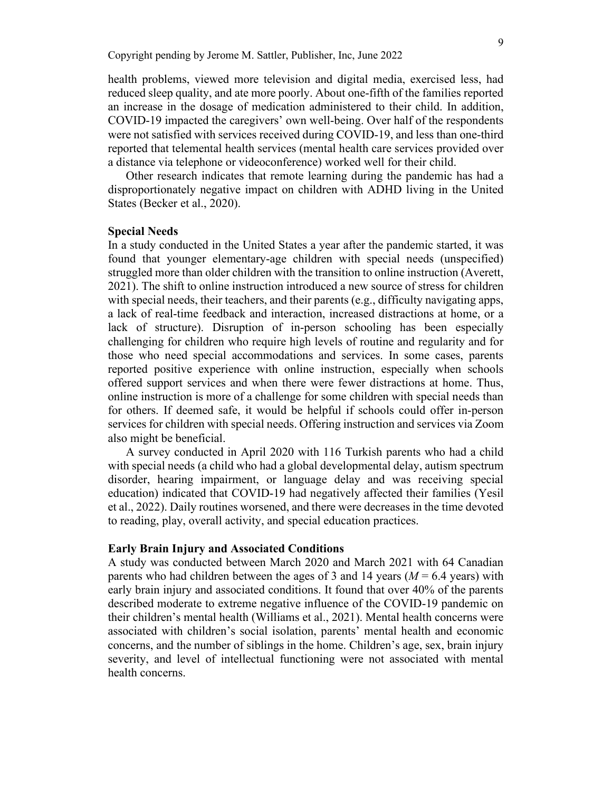health problems, viewed more television and digital media, exercised less, had reduced sleep quality, and ate more poorly. About one-fifth of the families reported an increase in the dosage of medication administered to their child. In addition, COVID-19 impacted the caregivers' own well-being. Over half of the respondents were not satisfied with services received during COVID-19, and less than one-third reported that telemental health services (mental health care services provided over a distance via telephone or videoconference) worked well for their child.

Other research indicates that remote learning during the pandemic has had a disproportionately negative impact on children with ADHD living in the United States (Becker et al., 2020).

### **Special Needs**

In a study conducted in the United States a year after the pandemic started, it was found that younger elementary-age children with special needs (unspecified) struggled more than older children with the transition to online instruction (Averett, 2021). The shift to online instruction introduced a new source of stress for children with special needs, their teachers, and their parents (e.g., difficulty navigating apps, a lack of real-time feedback and interaction, increased distractions at home, or a lack of structure). Disruption of in-person schooling has been especially challenging for children who require high levels of routine and regularity and for those who need special accommodations and services. In some cases, parents reported positive experience with online instruction, especially when schools offered support services and when there were fewer distractions at home. Thus, online instruction is more of a challenge for some children with special needs than for others. If deemed safe, it would be helpful if schools could offer in-person services for children with special needs. Offering instruction and services via Zoom also might be beneficial.

A survey conducted in April 2020 with 116 Turkish parents who had a child with special needs (a child who had a global developmental delay, autism spectrum disorder, hearing impairment, or language delay and was receiving special education) indicated that COVID-19 had negatively affected their families (Yesil et al., 2022). Daily routines worsened, and there were decreases in the time devoted to reading, play, overall activity, and special education practices.

#### **Early Brain Injury and Associated Conditions**

A study was conducted between March 2020 and March 2021 with 64 Canadian parents who had children between the ages of 3 and 14 years  $(M = 6.4$  years) with early brain injury and associated conditions. It found that over 40% of the parents described moderate to extreme negative influence of the COVID-19 pandemic on their children's mental health (Williams et al., 2021). Mental health concerns were associated with children's social isolation, parents' mental health and economic concerns, and the number of siblings in the home. Children's age, sex, brain injury severity, and level of intellectual functioning were not associated with mental health concerns.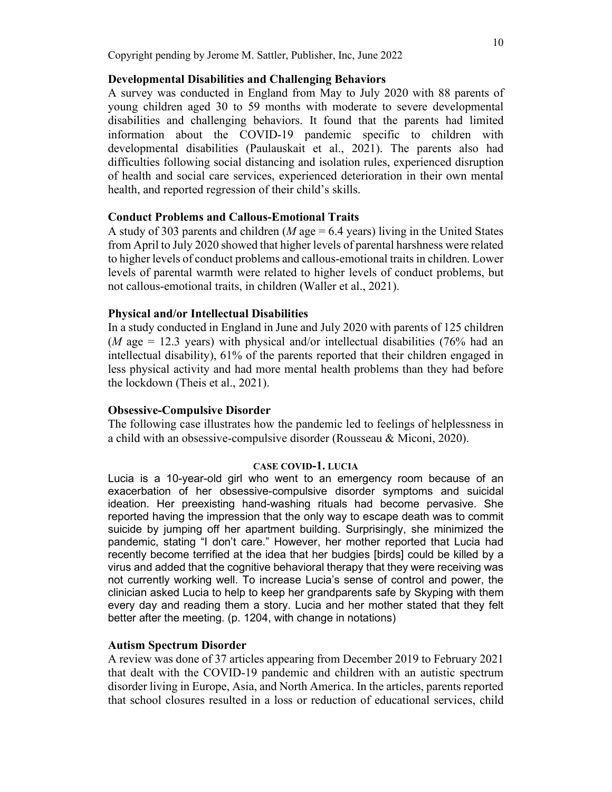### **Developmental Disabilities and Challenging Behaviors**

A survey was conducted in England from May to July 2020 with 88 parents of young children aged 30 to 59 months with moderate to severe developmental disabilities and challenging behaviors. It found that the parents had limited information about the COVID-19 pandemic specific to children with developmental disabilities (Paulauskait et al., 2021). The parents also had difficulties following social distancing and isolation rules, experienced disruption of health and social care services, experienced deterioration in their own mental health, and reported regression of their child's skills.

## **Conduct Problems and Callous-Emotional Traits**

A study of 303 parents and children (*M* age = 6.4 years) living in the United States from April to July 2020 showed that higher levels of parental harshness were related to higher levels of conduct problems and callous-emotional traits in children. Lower levels of parental warmth were related to higher levels of conduct problems, but not callous-emotional traits, in children (Waller et al., 2021).

### **Physical and/or Intellectual Disabilities**

In a study conducted in England in June and July 2020 with parents of 125 children  $(M \text{ age} = 12.3 \text{ years})$  with physical and/or intellectual disabilities (76% had an intellectual disability), 61% of the parents reported that their children engaged in less physical activity and had more mental health problems than they had before the lockdown (Theis et al., 2021).

#### **Obsessive-Compulsive Disorder**

The following case illustrates how the pandemic led to feelings of helplessness in a child with an obsessive-compulsive disorder (Rousseau & Miconi, 2020).

#### **CASE COVID-1. LUCIA**

Lucia is a 10-year-old girl who went to an emergency room because of an exacerbation of her obsessive-compulsive disorder symptoms and suicidal ideation. Her preexisting hand-washing rituals had become pervasive. She reported having the impression that the only way to escape death was to commit suicide by jumping off her apartment building. Surprisingly, she minimized the pandemic, stating "I don't care." However, her mother reported that Lucia had recently become terrified at the idea that her budgies [birds] could be killed by a virus and added that the cognitive behavioral therapy that they were receiving was not currently working well. To increase Lucia's sense of control and power, the clinician asked Lucia to help to keep her grandparents safe by Skyping with them every day and reading them a story. Lucia and her mother stated that they felt better after the meeting. (p. 1204, with change in notations)

#### **Autism Spectrum Disorder**

A review was done of 37 articles appearing from December 2019 to February 2021 that dealt with the COVID-19 pandemic and children with an autistic spectrum disorder living in Europe, Asia, and North America. In the articles, parents reported that school closures resulted in a loss or reduction of educational services, child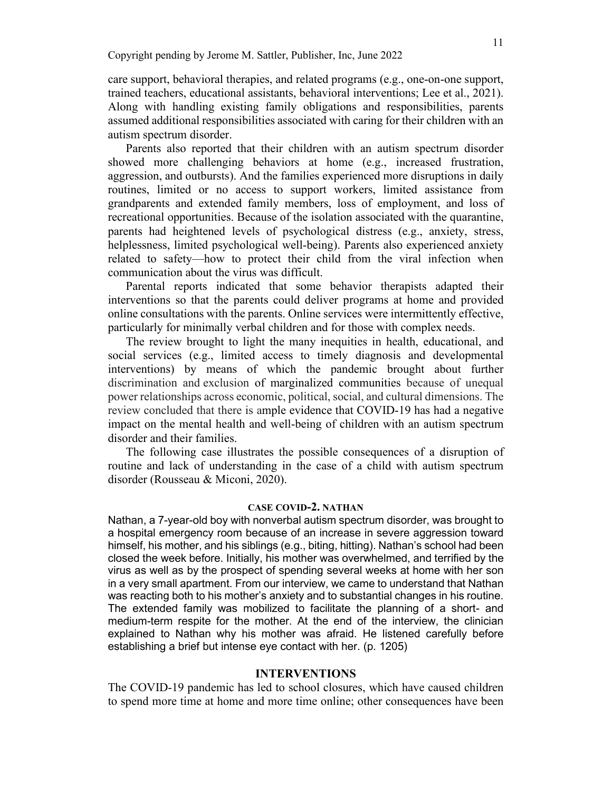care support, behavioral therapies, and related programs (e.g., one-on-one support, trained teachers, educational assistants, behavioral interventions; Lee et al., 2021). Along with handling existing family obligations and responsibilities, parents assumed additional responsibilities associated with caring for their children with an autism spectrum disorder.

Parents also reported that their children with an autism spectrum disorder showed more challenging behaviors at home (e.g., increased frustration, aggression, and outbursts). And the families experienced more disruptions in daily routines, limited or no access to support workers, limited assistance from grandparents and extended family members, loss of employment, and loss of recreational opportunities. Because of the isolation associated with the quarantine, parents had heightened levels of psychological distress (e.g., anxiety, stress, helplessness, limited psychological well-being). Parents also experienced anxiety related to safety—how to protect their child from the viral infection when communication about the virus was difficult.

Parental reports indicated that some behavior therapists adapted their interventions so that the parents could deliver programs at home and provided online consultations with the parents. Online services were intermittently effective, particularly for minimally verbal children and for those with complex needs.

The review brought to light the many inequities in health, educational, and social services (e.g., limited access to timely diagnosis and developmental interventions) by means of which the pandemic brought about further discrimination and exclusion of marginalized communities because of unequal power relationships across economic, political, social, and cultural dimensions. The review concluded that there is ample evidence that COVID-19 has had a negative impact on the mental health and well-being of children with an autism spectrum disorder and their families.

The following case illustrates the possible consequences of a disruption of routine and lack of understanding in the case of a child with autism spectrum disorder (Rousseau & Miconi, 2020).

#### **CASE COVID-2. NATHAN**

Nathan, a 7-year-old boy with nonverbal autism spectrum disorder, was brought to a hospital emergency room because of an increase in severe aggression toward himself, his mother, and his siblings (e.g., biting, hitting). Nathan's school had been closed the week before. Initially, his mother was overwhelmed, and terrified by the virus as well as by the prospect of spending several weeks at home with her son in a very small apartment. From our interview, we came to understand that Nathan was reacting both to his mother's anxiety and to substantial changes in his routine. The extended family was mobilized to facilitate the planning of a short- and medium-term respite for the mother. At the end of the interview, the clinician explained to Nathan why his mother was afraid. He listened carefully before establishing a brief but intense eye contact with her. (p. 1205)

#### **INTERVENTIONS**

The COVID-19 pandemic has led to school closures, which have caused children to spend more time at home and more time online; other consequences have been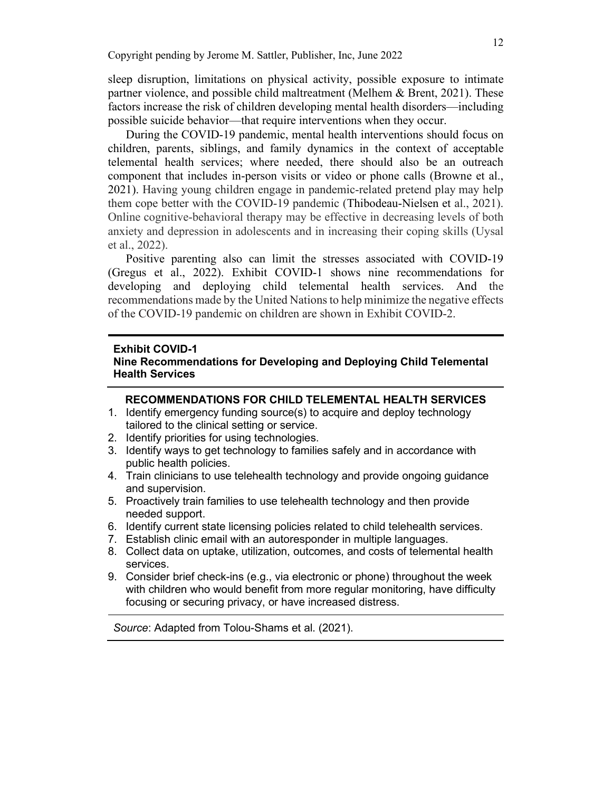sleep disruption, limitations on physical activity, possible exposure to intimate partner violence, and possible child maltreatment (Melhem & Brent, 2021). These factors increase the risk of children developing mental health disorders—including possible suicide behavior—that require interventions when they occur.

During the COVID-19 pandemic, mental health interventions should focus on children, parents, siblings, and family dynamics in the context of acceptable telemental health services; where needed, there should also be an outreach component that includes in-person visits or video or phone calls (Browne et al., 2021). Having young children engage in pandemic-related pretend play may help them cope better with the COVID-19 pandemic [\(Thibodeau-Nielsen](https://www.ncbi.nlm.nih.gov/pubmed/?term=Thibodeau-Nielsen%20RB%5BAuthor%5D&cauthor=true&cauthor_uid=34484078) et al., 2021). Online cognitive-behavioral therapy may be effective in decreasing levels of both anxiety and depression in adolescents and in increasing their coping skills (Uysal et al., 2022).

Positive parenting also can limit the stresses associated with COVID-19 (Gregus et al., 2022). Exhibit COVID-1 shows nine recommendations for developing and deploying child telemental health services. And the recommendations made by the United Nations to help minimize the negative effects of the COVID-19 pandemic on children are shown in Exhibit COVID-2.

#### **Exhibit COVID-1**

### **Nine Recommendations for Developing and Deploying Child Telemental Health Services**

#### **RECOMMENDATIONS FOR CHILD TELEMENTAL HEALTH SERVICES**

- 1. Identify emergency funding source(s) to acquire and deploy technology tailored to the clinical setting or service.
- 2. Identify priorities for using technologies.
- 3. Identify ways to get technology to families safely and in accordance with public health policies.
- 4. Train clinicians to use telehealth technology and provide ongoing guidance and supervision.
- 5. Proactively train families to use telehealth technology and then provide needed support.
- 6. Identify current state licensing policies related to child telehealth services.
- 7. Establish clinic email with an autoresponder in multiple languages.
- 8. Collect data on uptake, utilization, outcomes, and costs of telemental health services.
- 9. Consider brief check-ins (e.g., via electronic or phone) throughout the week with children who would benefit from more regular monitoring, have difficulty focusing or securing privacy, or have increased distress.

*Source*: Adapted from Tolou-Shams et al. (2021).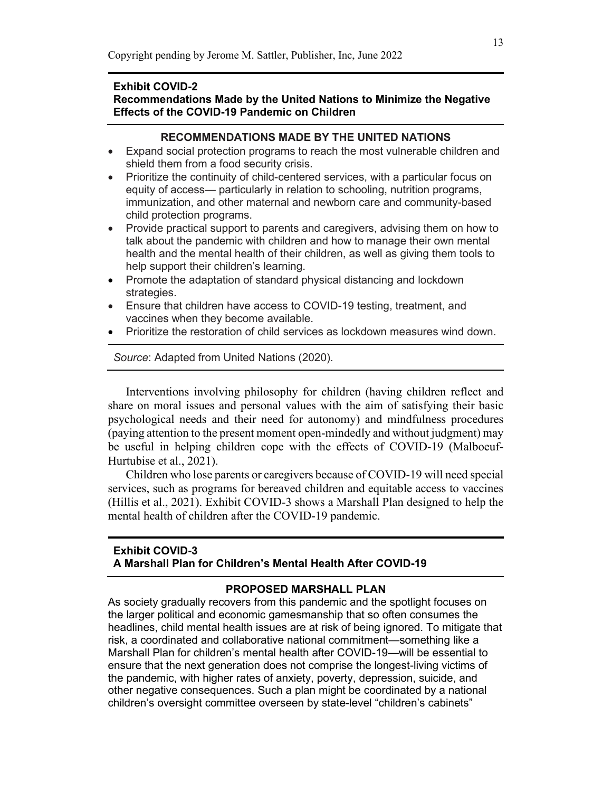#### **Exhibit COVID-2**

## **Recommendations Made by the United Nations to Minimize the Negative Effects of the COVID-19 Pandemic on Children**

## **RECOMMENDATIONS MADE BY THE UNITED NATIONS**

- Expand social protection programs to reach the most vulnerable children and shield them from a food security crisis.
- Prioritize the continuity of child-centered services, with a particular focus on equity of access— particularly in relation to schooling, nutrition programs, immunization, and other maternal and newborn care and community-based child protection programs.
- Provide practical support to parents and caregivers, advising them on how to talk about the pandemic with children and how to manage their own mental health and the mental health of their children, as well as giving them tools to help support their children's learning.
- Promote the adaptation of standard physical distancing and lockdown strategies.
- Ensure that children have access to COVID-19 testing, treatment, and vaccines when they become available.
- Prioritize the restoration of child services as lockdown measures wind down.

*Source*: Adapted from United Nations (2020).

Interventions involving philosophy for children (having children reflect and share on moral issues and personal values with the aim of satisfying their basic psychological needs and their need for autonomy) and mindfulness procedures (paying attention to the present moment open-mindedly and without judgment) may be useful in helping children cope with the effects of COVID-19 (Malboeuf-Hurtubise et al., 2021).

Children who lose parents or caregivers because of COVID-19 will need special services, such as programs for bereaved children and equitable access to vaccines (Hillis et al., 2021). Exhibit COVID-3 shows a Marshall Plan designed to help the mental health of children after the COVID-19 pandemic.

## **Exhibit COVID-3 A Marshall Plan for Children's Mental Health After COVID-19**

### **PROPOSED MARSHALL PLAN**

As society gradually recovers from this pandemic and the spotlight focuses on the larger political and economic gamesmanship that so often consumes the headlines, child mental health issues are at risk of being ignored. To mitigate that risk, a coordinated and collaborative national commitment—something like a Marshall Plan for children's mental health after COVID-19—will be essential to ensure that the next generation does not comprise the longest-living victims of the pandemic, with higher rates of anxiety, poverty, depression, suicide, and other negative consequences. Such a plan might be coordinated by a national children's oversight committee overseen by state-level "children's cabinets"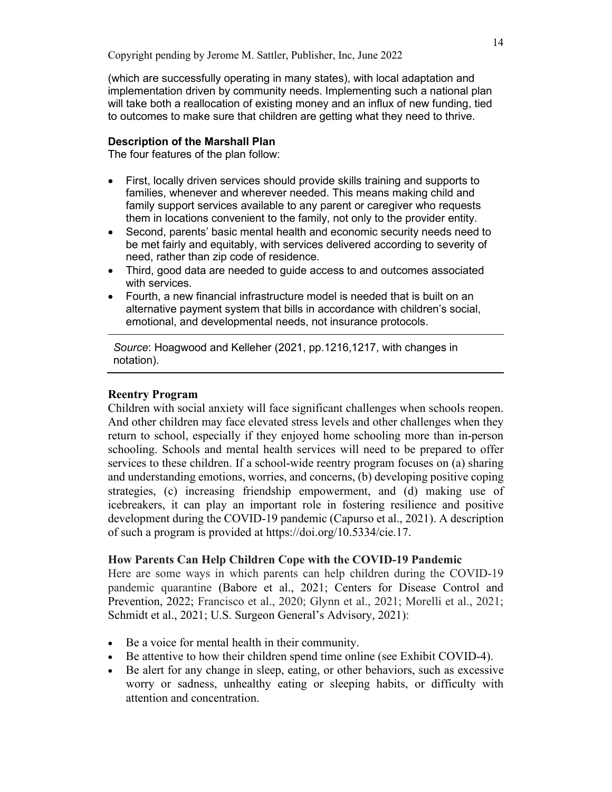(which are successfully operating in many states), with local adaptation and implementation driven by community needs. Implementing such a national plan will take both a reallocation of existing money and an influx of new funding, tied to outcomes to make sure that children are getting what they need to thrive.

## **Description of the Marshall Plan**

The four features of the plan follow:

- First, locally driven services should provide skills training and supports to families, whenever and wherever needed. This means making child and family support services available to any parent or caregiver who requests them in locations convenient to the family, not only to the provider entity.
- Second, parents' basic mental health and economic security needs need to be met fairly and equitably, with services delivered according to severity of need, rather than zip code of residence.
- Third, good data are needed to guide access to and outcomes associated with services.
- Fourth, a new financial infrastructure model is needed that is built on an alternative payment system that bills in accordance with children's social, emotional, and developmental needs, not insurance protocols.

*Source*: Hoagwood and Kelleher (2021, pp.1216,1217, with changes in notation).

## **Reentry Program**

Children with social anxiety will face significant challenges when schools reopen. And other children may face elevated stress levels and other challenges when they return to school, especially if they enjoyed home schooling more than in-person schooling. Schools and mental health services will need to be prepared to offer services to these children. If a school-wide reentry program focuses on (a) sharing and understanding emotions, worries, and concerns, (b) developing positive coping strategies, (c) increasing friendship empowerment, and (d) making use of icebreakers, it can play an important role in fostering resilience and positive development during the COVID-19 pandemic (Capurso et al., 2021). A description of such a program is provided at https://doi.org/10.5334/cie.17.

### **How Parents Can Help Children Cope with the COVID-19 Pandemic**

Here are some ways in which parents can help children during the COVID-19 pandemic quarantine (Babore et al., 2021; Centers for Disease Control and Prevention, 2022; Francisco et al., 2020; Glynn et al., 2021; Morelli et al., 2021; Schmidt et al., 2021; U.S. Surgeon General's Advisory, 2021):

- Be a voice for mental health in their community.
- Be attentive to how their children spend time online (see Exhibit COVID-4).
- Be alert for any change in sleep, eating, or other behaviors, such as excessive worry or sadness, unhealthy eating or sleeping habits, or difficulty with attention and concentration.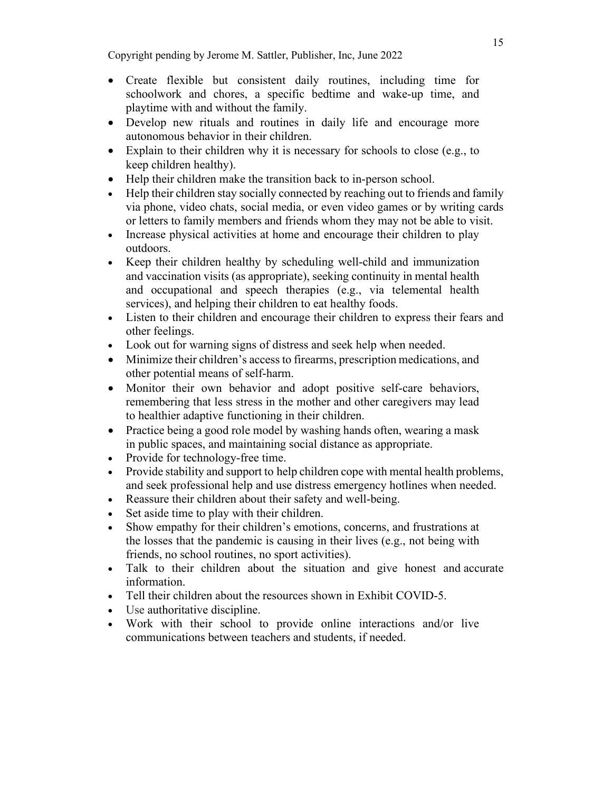- Create flexible but consistent daily routines, including time for schoolwork and chores, a specific bedtime and wake-up time, and playtime with and without the family.
- Develop new rituals and routines in daily life and encourage more autonomous behavior in their children.
- Explain to their children why it is necessary for schools to close (e.g., to keep children healthy).
- Help their children make the transition back to in-person school.
- Help their children stay socially connected by reaching out to friends and family via phone, video chats, social media, or even video games or by writing cards or letters to family members and friends whom they may not be able to visit.
- Increase physical activities at home and encourage their children to play outdoors.
- Keep their children healthy by scheduling well-child and immunization and vaccination visits (as appropriate), seeking continuity in mental health and occupational and speech therapies (e.g., via telemental health services), and helping their children to eat healthy foods.
- Listen to their children and encourage their children to express their fears and other feelings.
- Look out for warning signs of distress and seek help when needed.
- Minimize their children's access to firearms, prescription medications, and other potential means of self-harm.
- Monitor their own behavior and adopt positive self-care behaviors, remembering that less stress in the mother and other caregivers may lead to healthier adaptive functioning in their children.
- Practice being a good role model by washing hands often, wearing a mask in public spaces, and maintaining social distance as appropriate.
- Provide for technology-free time.
- Provide stability and support to help children cope with mental health problems, and seek professional help and use distress emergency hotlines when needed.
- Reassure their children about their safety and well-being.
- Set aside time to play with their children.
- Show empathy for their children's emotions, concerns, and frustrations at the losses that the pandemic is causing in their lives (e.g., not being with friends, no school routines, no sport activities).
- Talk to their children about the situation and give honest and accurate information.
- Tell their children about the resources shown in Exhibit COVID-5.
- Use authoritative discipline.
- Work with their school to provide online interactions and/or live communications between teachers and students, if needed.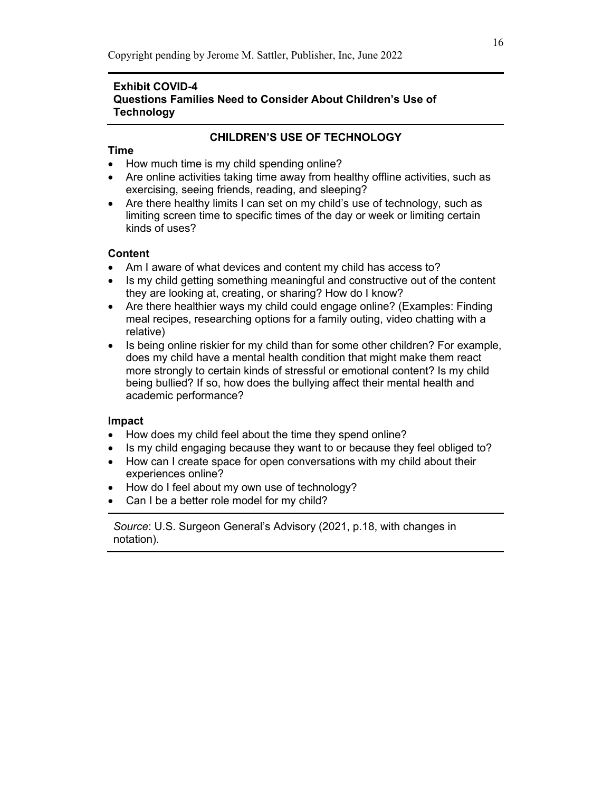# **Exhibit COVID-4 Questions Families Need to Consider About Children's Use of Technology**

# **CHILDREN'S USE OF TECHNOLOGY**

# **Time**

- How much time is my child spending online?
- Are online activities taking time away from healthy offline activities, such as exercising, seeing friends, reading, and sleeping?
- Are there healthy limits I can set on my child's use of technology, such as limiting screen time to specific times of the day or week or limiting certain kinds of uses?

# **Content**

- Am I aware of what devices and content my child has access to?
- Is my child getting something meaningful and constructive out of the content they are looking at, creating, or sharing? How do I know?
- Are there healthier ways my child could engage online? (Examples: Finding meal recipes, researching options for a family outing, video chatting with a relative)
- Is being online riskier for my child than for some other children? For example, does my child have a mental health condition that might make them react more strongly to certain kinds of stressful or emotional content? Is my child being bullied? If so, how does the bullying affect their mental health and academic performance?

# **Impact**

- How does my child feel about the time they spend online?
- Is my child engaging because they want to or because they feel obliged to?
- How can I create space for open conversations with my child about their experiences online?
- How do I feel about my own use of technology?
- Can I be a better role model for my child?

*Source*: U.S. Surgeon General's Advisory (2021, p.18, with changes in notation).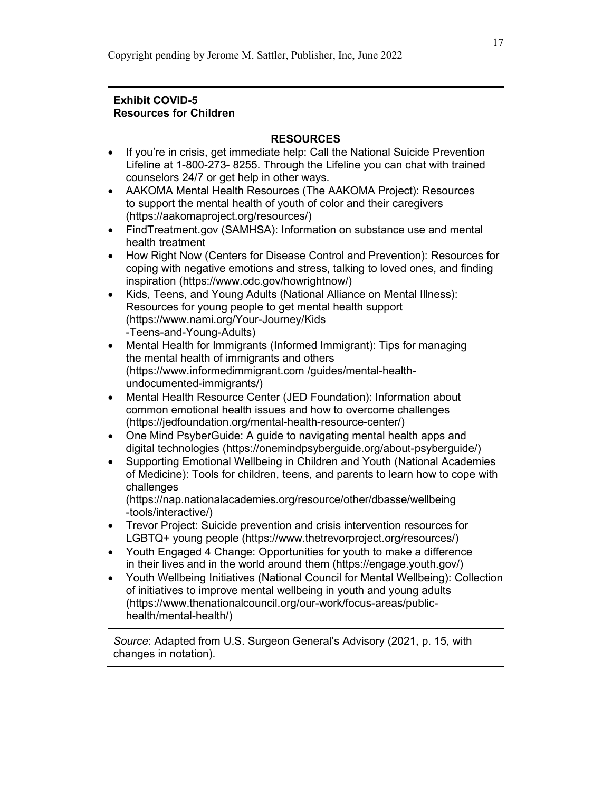## **Exhibit COVID-5 Resources for Children**

## **RESOURCES**

- If you're in crisis, get immediate help: Call the National Suicide Prevention Lifeline at 1-800-273- 8255. Through the Lifeline you can [chat w](https://suicidepreventionlifeline.org/chat/)ith trained counselors 24/7 or get help in [other ways.](https://suicidepreventionlifeline.org/help-yourself/)
- AAKOMA Mental Health Resources (The AAKOMA Project): Resources to support the mental health of youth of color and their caregivers (https://aakomaproject.org/resources/)
- FindTreatment.gov (SAMHSA): Information on substance use and mental health treatment
- How Right Now (Centers for Disease Control and Prevention): Resources for coping with negative emotions and stress, talking to loved ones, and finding inspiration (https://www.cdc.gov/howrightnow/)
- Kids, Teens, and Young Adults (National Alliance on Mental Illness): Resources for young people to get mental health support (https://www.nami.org/Your-Journey/Kids -Teens-and-Young-Adults)
- Mental Health for Immigrants (Informed Immigrant): Tips for managing the mental health of immigrants and others (https://www.informedimmigrant.com /guides/mental-healthundocumented-immigrants/)
- Mental Health Resource Center (JED Foundation): Information about common emotional health issues and how to overcome challenges (https://jedfoundation.org/mental-health-resource-center/)
- One Mind PsyberGuide: A quide to navigating mental health apps and digital technologies (https://onemindpsyberguide.org/about-psyberguide/)
- Supporting Emotional Wellbeing in Children and Youth (National Academies of Medicine): Tools for children, teens, and parents to learn how to cope with challenges

(https://nap.nationalacademies.org/resource/other/dbasse/wellbeing -tools/interactive/)

- Trevor Project: Suicide prevention and crisis intervention resources for LGBTQ+ young people (https://www.thetrevorproject.org/resources/)
- Youth Engaged 4 Change: Opportunities for youth to make a difference in their lives and in the world around them (https://engage.youth.gov/)
- Youth Wellbeing Initiatives (National Council for Mental Wellbeing): Collection of initiatives to improve mental wellbeing in youth and young adults (https://www.thenationalcouncil.org/our-work/focus-areas/publichealth/mental-health/)

*Source*: Adapted from U.S. Surgeon General's Advisory (2021, p. 15, with changes in notation).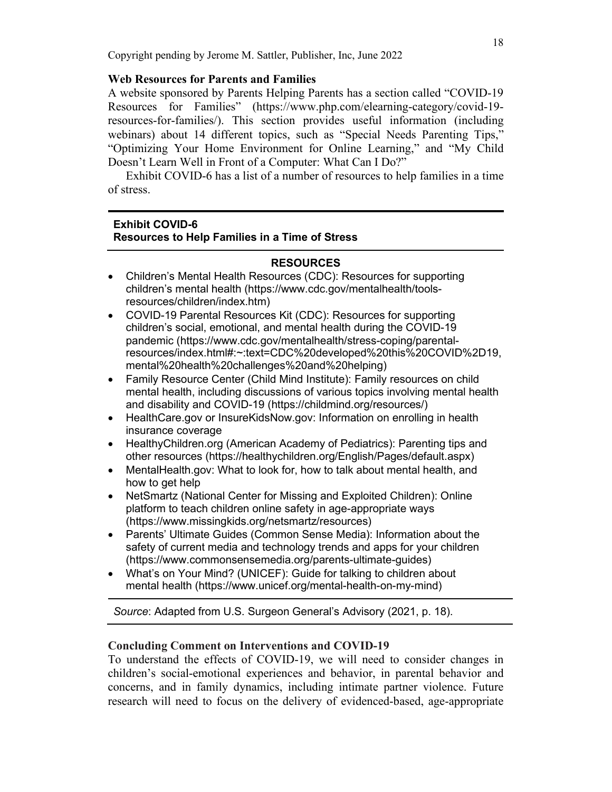# **Web Resources for Parents and Families**

A website sponsored by Parents Helping Parents has a section called "COVID-19 Resources for Families" (https://www.php.com/elearning-category/covid-19 resources-for-families/). This section provides useful information (including webinars) about 14 different topics, such as "Special Needs Parenting Tips," "Optimizing Your Home Environment for Online Learning," and "My Child Doesn't Learn Well in Front of a Computer: What Can I Do?"

Exhibit COVID-6 has a list of a number of resources to help families in a time of stress.

## **Exhibit COVID-6**

## **Resources to Help Families in a Time of Stress**

# **RESOURCES**

- Children's Mental Health Resources (CDC): Resources for supporting children's mental health (https://www.cdc.gov/mentalhealth/toolsresources/children/index.htm)
- COVID-19 Parental Resources Kit (CDC): Resources for supporting children's social, emotional, and mental health during the COVID-19 pandemic (https://www.cdc.gov/mentalhealth/stress-coping/parentalresources/index.html#:~:text=CDC%20developed%20this%20COVID%2D19, mental%20health%20challenges%20and%20helping)
- Family Resource Center (Child Mind Institute): Family resources on child mental health, including discussions of various topics involving mental health and disability and COVID-19 (https://childmind.org/resources/)
- HealthCare.gov or InsureKidsNow.gov: Information on enrolling in health insurance coverage
- HealthyChildren.org (American Academy of Pediatrics): Parenting tips and other resources (https://healthychildren.org/English/Pages/default.aspx)
- MentalHealth.gov: What to look for, how to talk about mental health, and how to get help
- NetSmartz (National Center for Missing and Exploited Children): Online platform to teach children online safety in age-appropriate ways (https://www.missingkids.org/netsmartz/resources)
- Parents' Ultimate Guides (Common Sense Media): Information about the safety of current media and technology trends and apps for your children (https://www.commonsensemedia.org/parents-ultimate-guides)
- What's on Your Mind? (UNICEF): Guide for talking to children about mental health (https://www.unicef.org/mental-health-on-my-mind)

*Source*: Adapted from U.S. Surgeon General's Advisory (2021, p. 18).

# **Concluding Comment on Interventions and COVID-19**

To understand the effects of COVID-19, we will need to consider changes in children's social-emotional experiences and behavior, in parental behavior and concerns, and in family dynamics, including intimate partner violence. Future research will need to focus on the delivery of evidenced-based, age-appropriate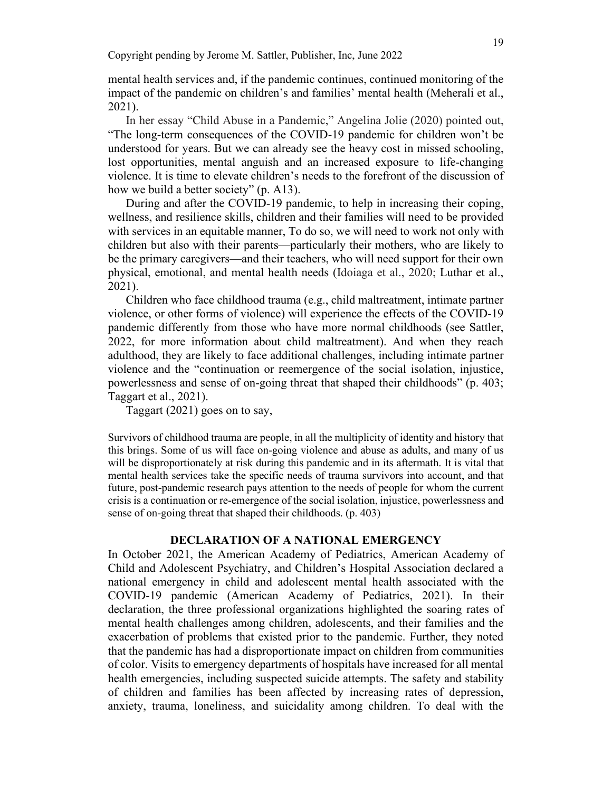mental health services and, if the pandemic continues, continued monitoring of the impact of the pandemic on children's and families' mental health (Meherali et al., 2021).

In her essay "Child Abuse in a Pandemic," Angelina Jolie (2020) pointed out, "The long-term consequences of the COVID-19 pandemic for children won't be understood for years. But we can already see the heavy cost in missed schooling, lost opportunities, mental anguish and an increased exposure to life-changing violence. It is time to elevate children's needs to the forefront of the discussion of how we build a better society" (p. A13).

During and after the COVID-19 pandemic, to help in increasing their coping, wellness, and resilience skills, children and their families will need to be provided with services in an equitable manner, To do so, we will need to work not only with children but also with their parents—particularly their mothers, who are likely to be the primary caregivers—and their teachers, who will need support for their own physical, emotional, and mental health needs (Idoiaga et al., 2020; Luthar et al., 2021).

Children who face childhood trauma (e.g., child maltreatment, intimate partner violence, or other forms of violence) will experience the effects of the COVID-19 pandemic differently from those who have more normal childhoods (see Sattler, 2022, for more information about child maltreatment). And when they reach adulthood, they are likely to face additional challenges, including intimate partner violence and the "continuation or reemergence of the social isolation, injustice, powerlessness and sense of on-going threat that shaped their childhoods" (p. 403; Taggart et al., 2021).

Taggart (2021) goes on to say,

Survivors of childhood trauma are people, in all the multiplicity of identity and history that this brings. Some of us will face on-going violence and abuse as adults, and many of us will be disproportionately at risk during this pandemic and in its aftermath. It is vital that mental health services take the specific needs of trauma survivors into account, and that future, post-pandemic research pays attention to the needs of people for whom the current crisis is a continuation or re-emergence of the social isolation, injustice, powerlessness and sense of on-going threat that shaped their childhoods. (p. 403)

### **DECLARATION OF A NATIONAL EMERGENCY**

In October 2021, the American Academy of Pediatrics, American Academy of Child and Adolescent Psychiatry, and Children's Hospital Association declared a national emergency in child and adolescent mental health associated with the COVID-19 pandemic (American Academy of Pediatrics, 2021). In their declaration, the three professional organizations highlighted the soaring rates of mental health challenges among children, adolescents, and their families and the exacerbation of problems that existed prior to the pandemic. Further, they noted that the pandemic has had a disproportionate impact on children from communities of color. Visits to emergency departments of hospitals have increased for all mental health emergencies, including suspected suicide attempts. The safety and stability of children and families has been affected by increasing rates of depression, anxiety, trauma, loneliness, and suicidality among children. To deal with the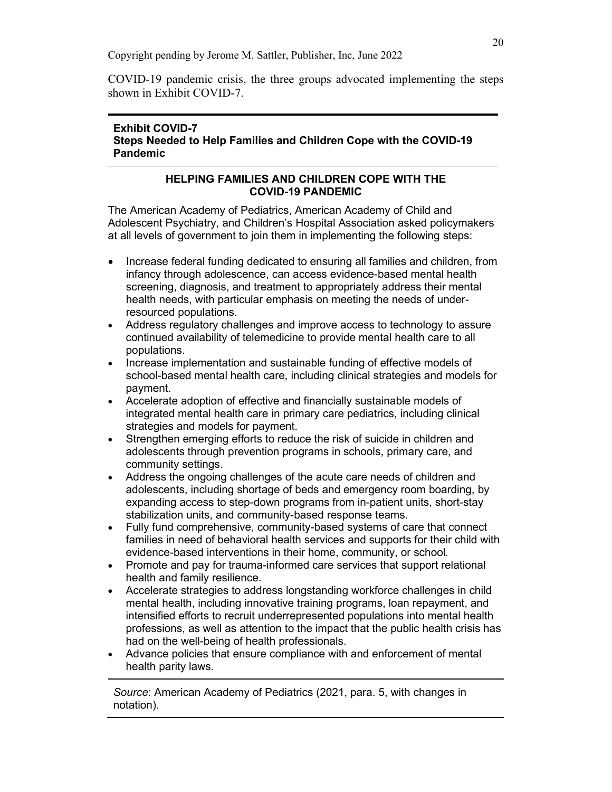COVID-19 pandemic crisis, the three groups advocated implementing the steps shown in Exhibit COVID-7.

# **Exhibit COVID-7 Steps Needed to Help Families and Children Cope with the COVID-19 Pandemic**

# **HELPING FAMILIES AND CHILDREN COPE WITH THE COVID-19 PANDEMIC**

The American Academy of Pediatrics, American Academy of Child and Adolescent Psychiatry, and Children's Hospital Association asked policymakers at all levels of government to join them in implementing the following steps:

- Increase federal funding dedicated to ensuring all families and children, from infancy through adolescence, can access evidence-based mental health screening, diagnosis, and treatment to appropriately address their mental health needs, with particular emphasis on meeting the needs of underresourced populations.
- Address regulatory challenges and improve access to technology to assure continued availability of telemedicine to provide mental health care to all populations.
- Increase implementation and sustainable funding of effective models of school-based mental health care, including clinical strategies and models for payment.
- Accelerate adoption of effective and financially sustainable models of integrated mental health care in primary care pediatrics, including clinical strategies and models for payment.
- Strengthen emerging efforts to reduce the risk of suicide in children and adolescents through prevention programs in schools, primary care, and community settings.
- Address the ongoing challenges of the acute care needs of children and adolescents, including shortage of beds and emergency room boarding, by expanding access to step-down programs from in-patient units, short-stay stabilization units, and community-based response teams.
- Fully fund comprehensive, community-based systems of care that connect families in need of behavioral health services and supports for their child with evidence-based interventions in their home, community, or school.
- Promote and pay for trauma-informed care services that support relational health and family resilience.
- Accelerate strategies to address longstanding workforce challenges in child mental health, including innovative training programs, loan repayment, and intensified efforts to recruit underrepresented populations into mental health professions, as well as attention to the impact that the public health crisis has had on the well-being of health professionals.
- Advance policies that ensure compliance with and enforcement of mental health parity laws.

*Source*: American Academy of Pediatrics (2021, para. 5, with changes in notation).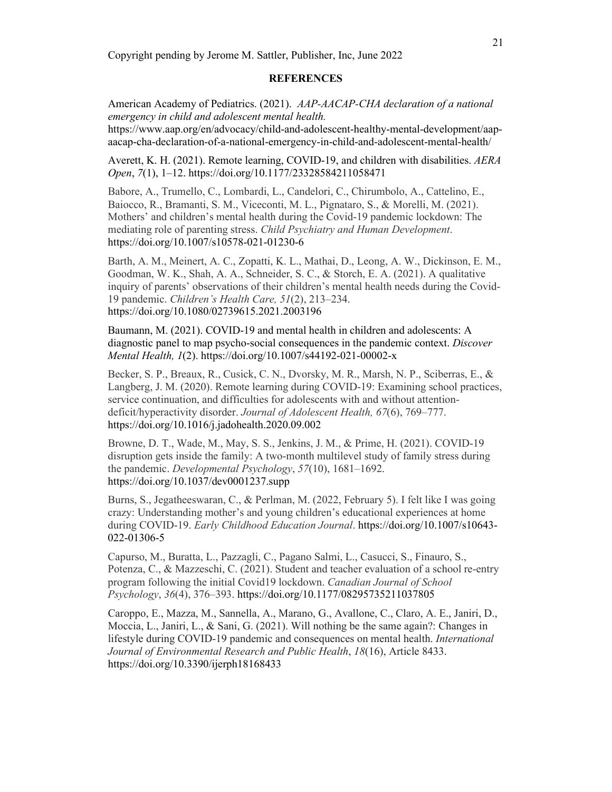#### **REFERENCES**

American Academy of Pediatrics. (2021). *AAP-AACAP-CHA declaration of a national emergency in child and adolescent mental health.* https://www.aap.org/en/advocacy/child-and-adolescent-healthy-mental-development/aapaacap-cha-declaration-of-a-national-emergency-in-child-and-adolescent-mental-health/

Averett, K. H. (2021). Remote learning, COVID-19, and children with disabilities. *AERA Open*, *7*(1), 1–12. https://doi.org/10.1177/23328584211058471

Babore, A., Trumello, C., Lombardi, L., Candelori, C., Chirumbolo, A., Cattelino, E., Baiocco, R., Bramanti, S. M., Viceconti, M. L., Pignataro, S., & Morelli, M. (2021). Mothers' and children's mental health during the Covid-19 pandemic lockdown: The mediating role of parenting stress. *Child Psychiatry and Human Development*. https://doi.org/10.1007/s10578-021-01230-6

Barth, A. M., Meinert, A. C., Zopatti, K. L., Mathai, D., Leong, A. W., Dickinson, E. M., Goodman, W. K., Shah, A. A., Schneider, S. C., & Storch, E. A. (2021). A qualitative inquiry of parents' observations of their children's mental health needs during the Covid-19 pandemic. *Children's Health Care, 51*(2), 213–234. https://doi.org/10.1080/02739615.2021.2003196

Baumann, M. (2021). COVID-19 and mental health in children and adolescents: A diagnostic panel to map psycho-social consequences in the pandemic context. *Discover Mental Health, 1*(2). https://doi.org/10.1007/s44192-021-00002-x

Becker, S. P., Breaux, R., Cusick, C. N., Dvorsky, M. R., Marsh, N. P., Sciberras, E., & Langberg, J. M. (2020). Remote learning during COVID-19: Examining school practices, service continuation, and difficulties for adolescents with and without attentiondeficit/hyperactivity disorder. *Journal of Adolescent Health, 67*(6), 769–777. https://doi.org/10.1016/j.jadohealth.2020.09.002

Browne, D. T., Wade, M., May, S. S., Jenkins, J. M., & Prime, H. (2021). COVID-19 disruption gets inside the family: A two-month multilevel study of family stress during the pandemic. *Developmental Psychology*, *57*(10), 1681–1692. https://doi.org/10.1037/dev0001237.supp

Burns, S., Jegatheeswaran, C., & Perlman, M. (2022, February 5). I felt like I was going crazy: Understanding mother's and young children's educational experiences at home during COVID-19. *Early Childhood Education Journal*. https://doi.org/10.1007/s10643- 022-01306-5

Capurso, M., Buratta, L., Pazzagli, C., Pagano Salmi, L., Casucci, S., Finauro, S., Potenza, C., & Mazzeschi, C. (2021). Student and teacher evaluation of a school re-entry program following the initial Covid19 lockdown. *Canadian Journal of School Psychology*, *36*(4), 376–393. https://doi.org/10.1177/08295735211037805

Caroppo, E., Mazza, M., Sannella, A., Marano, G., Avallone, C., Claro, A. E., Janiri, D., Moccia, L., Janiri, L., & Sani, G. (2021). Will nothing be the same again?: Changes in lifestyle during COVID-19 pandemic and consequences on mental health. *International Journal of Environmental Research and Public Health*, *18*(16), Article 8433. https://doi.org/10.3390/ijerph18168433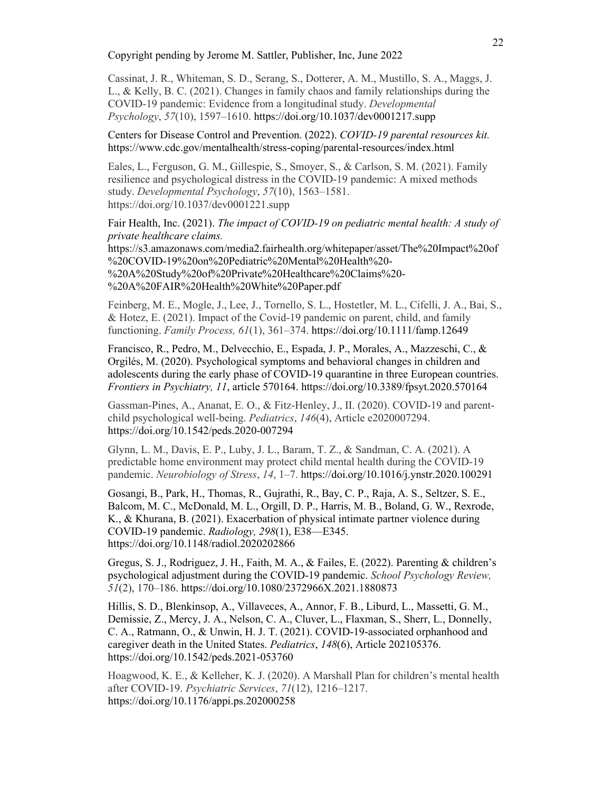Cassinat, J. R., Whiteman, S. D., Serang, S., Dotterer, A. M., Mustillo, S. A., Maggs, J. L., & Kelly, B. C. (2021). Changes in family chaos and family relationships during the COVID-19 pandemic: Evidence from a longitudinal study. *Developmental Psychology*, *57*(10), 1597–1610. https://doi.org/10.1037/dev0001217.supp

Centers for Disease Control and Prevention. (2022). *COVID-19 parental resources kit.*  https://www.cdc.gov/mentalhealth/stress-coping/parental-resources/index.html

Eales, L., Ferguson, G. M., Gillespie, S., Smoyer, S., & Carlson, S. M. (2021). Family resilience and psychological distress in the COVID-19 pandemic: A mixed methods study. *Developmental Psychology*, *57*(10), 1563–1581. https://doi.org/10.1037/dev0001221.supp

Fair Health, Inc. (2021). *The impact of COVID-19 on pediatric mental health: A study of private healthcare claims.*

https://s3.amazonaws.com/media2.fairhealth.org/whitepaper/asset/The%20Impact%20of %20COVID-19%20on%20Pediatric%20Mental%20Health%20- %20A%20Study%20of%20Private%20Healthcare%20Claims%20- %20A%20FAIR%20Health%20White%20Paper.pdf

Feinberg, M. E., Mogle, J., Lee, J., Tornello, S. L., Hostetler, M. L., Cifelli, J. A., Bai, S., & Hotez, E. (2021). Impact of the Covid-19 pandemic on parent, child, and family functioning. *Family Process, 61*(1), 361–374. https://doi.org/10.1111/famp.12649

Francisco, R., Pedro, M., Delvecchio, E., Espada, J. P., Morales, A., Mazzeschi, C., & Orgilés, M. (2020). Psychological symptoms and behavioral changes in children and adolescents during the early phase of COVID-19 quarantine in three European countries. *Frontiers in Psychiatry, 11*, article 570164. https://doi.org/10.3389/fpsyt.2020.570164

Gassman-Pines, A., Ananat, E. O., & Fitz-Henley, J., II. (2020). COVID-19 and parentchild psychological well-being. *Pediatrics*, *146*(4), Article e2020007294. https://doi.org/10.1542/peds.2020-007294

Glynn, L. M., Davis, E. P., Luby, J. L., Baram, T. Z., & Sandman, C. A. (2021). A predictable home environment may protect child mental health during the COVID-19 pandemic. *Neurobiology of Stress*, *14*, 1–7. https://doi.org/10.1016/j.ynstr.2020.100291

Gosangi, B., Park, H., Thomas, R., Gujrathi, R., Bay, C. P., Raja, A. S., Seltzer, S. E., Balcom, M. C., McDonald, M. L., Orgill, D. P., Harris, M. B., Boland, G. W., Rexrode, K., & Khurana, B. (2021). Exacerbation of physical intimate partner violence during COVID-19 pandemic. *Radiology, 298*(1), E38––E345. https://doi.org/10.1148/radiol.2020202866

Gregus, S. J., Rodriguez, J. H., Faith, M. A., & Failes, E. (2022). Parenting & children's psychological adjustment during the COVID-19 pandemic. *School Psychology Review, 51*(2), 170–186. https://doi.org/10.1080/2372966X.2021.1880873

Hillis, S. D., Blenkinsop, A., Villaveces, A., Annor, F. B., Liburd, L., Massetti, G. M., Demissie, Z., Mercy, J. A., Nelson, C. A., Cluver, L., Flaxman, S., Sherr, L., Donnelly, C. A., Ratmann, O., & Unwin, H. J. T. (2021). COVID-19-associated orphanhood and caregiver death in the United States. *Pediatrics*, *148*(6), Article 202105376. https://doi.org/10.1542/peds.2021-053760

Hoagwood, K. E., & Kelleher, K. J. (2020). A Marshall Plan for children's mental health after COVID-19. *Psychiatric Services*, *71*(12), 1216–1217. https://doi.org/10.1176/appi.ps.202000258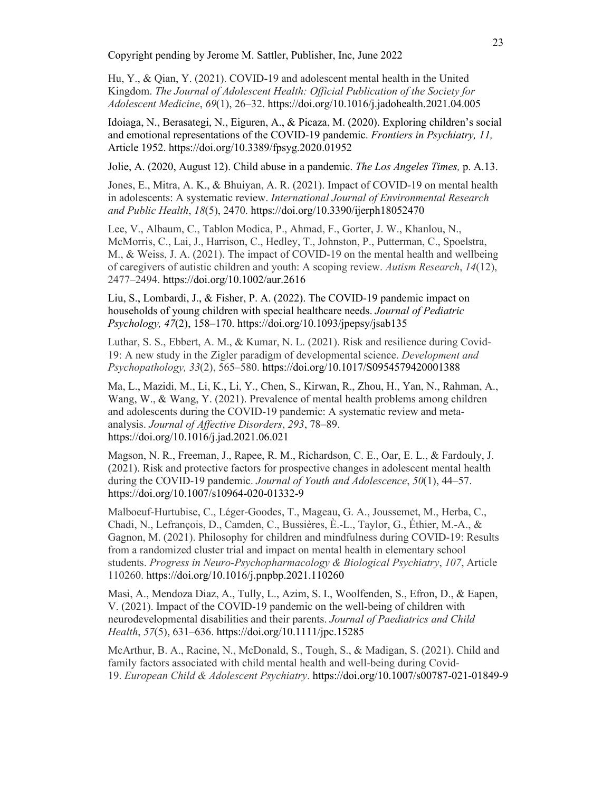Hu, Y., & Qian, Y. (2021). COVID-19 and adolescent mental health in the United Kingdom. *The Journal of Adolescent Health: Official Publication of the Society for Adolescent Medicine*, *69*(1), 26–32. https://doi.org/10.1016/j.jadohealth.2021.04.005

Idoiaga, N., Berasategi, N., Eiguren, A., & Picaza, M. (2020). Exploring children's social and emotional representations of the COVID-19 pandemic. *Frontiers in Psychiatry, 11,*  Article 1952. https://doi.org/10.3389/fpsyg.2020.01952

Jolie, A. (2020, August 12). Child abuse in a pandemic. *The Los Angeles Times,* p. A.13.

Jones, E., Mitra, A. K., & Bhuiyan, A. R. (2021). Impact of COVID-19 on mental health in adolescents: A systematic review. *International Journal of Environmental Research and Public Health*, *18*(5), 2470. https://doi.org/10.3390/ijerph18052470

Lee, V., Albaum, C., Tablon Modica, P., Ahmad, F., Gorter, J. W., Khanlou, N., McMorris, C., Lai, J., Harrison, C., Hedley, T., Johnston, P., Putterman, C., Spoelstra, M., & Weiss, J. A. (2021). The impact of COVID-19 on the mental health and wellbeing of caregivers of autistic children and youth: A scoping review. *Autism Research*, *14*(12), 2477–2494. https://doi.org/10.1002/aur.2616

Liu, S., Lombardi, J., & Fisher, P. A. (2022). The COVID-19 pandemic impact on households of young children with special healthcare needs. *Journal of Pediatric Psychology, 47*(2), 158–170. https://doi.org/10.1093/jpepsy/jsab135

Luthar, S. S., Ebbert, A. M., & Kumar, N. L. (2021). Risk and resilience during Covid-19: A new study in the Zigler paradigm of developmental science. *Development and Psychopathology, 33*(2), 565–580. https://doi.org/10.1017/S0954579420001388

Ma, L., Mazidi, M., Li, K., Li, Y., Chen, S., Kirwan, R., Zhou, H., Yan, N., Rahman, A., Wang, W., & Wang, Y. (2021). Prevalence of mental health problems among children and adolescents during the COVID-19 pandemic: A systematic review and metaanalysis. *Journal of Affective Disorders*, *293*, 78–89. https://doi.org/10.1016/j.jad.2021.06.021

Magson, N. R., Freeman, J., Rapee, R. M., Richardson, C. E., Oar, E. L., & Fardouly, J. (2021). Risk and protective factors for prospective changes in adolescent mental health during the COVID-19 pandemic. *Journal of Youth and Adolescence*, *50*(1), 44–57. https://doi.org/10.1007/s10964-020-01332-9

Malboeuf-Hurtubise, C., Léger-Goodes, T., Mageau, G. A., Joussemet, M., Herba, C., Chadi, N., Lefrançois, D., Camden, C., Bussières, È.-L., Taylor, G., Éthier, M.-A., & Gagnon, M. (2021). Philosophy for children and mindfulness during COVID-19: Results from a randomized cluster trial and impact on mental health in elementary school students. *Progress in Neuro-Psychopharmacology & Biological Psychiatry*, *107*, Article 110260. https://doi.org/10.1016/j.pnpbp.2021.110260

Masi, A., Mendoza Diaz, A., Tully, L., Azim, S. I., Woolfenden, S., Efron, D., & Eapen, V. (2021). Impact of the COVID-19 pandemic on the well-being of children with neurodevelopmental disabilities and their parents. *Journal of Paediatrics and Child Health*, *57*(5), 631–636. https://doi.org/10.1111/jpc.15285

McArthur, B. A., Racine, N., McDonald, S., Tough, S., & Madigan, S. (2021). Child and family factors associated with child mental health and well-being during Covid-19. *European Child & Adolescent Psychiatry*. https://doi.org/10.1007/s00787-021-01849-9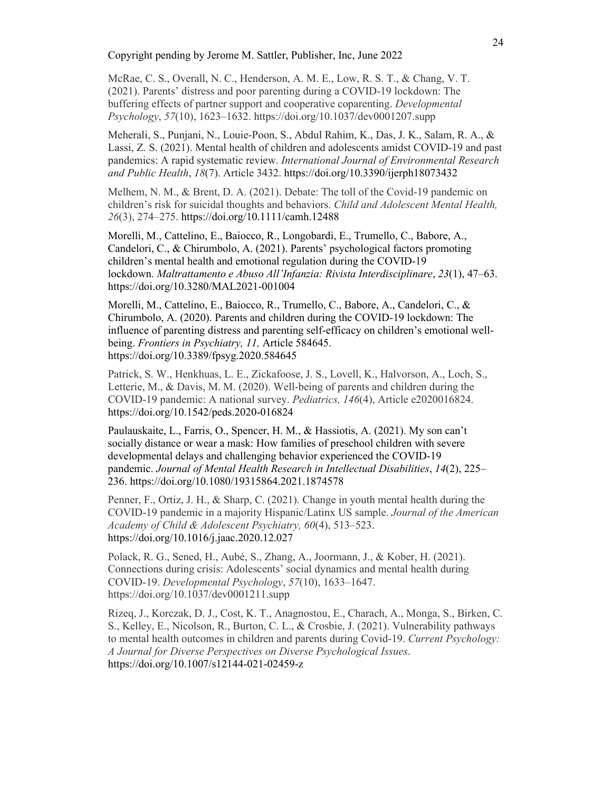McRae, C. S., Overall, N. C., Henderson, A. M. E., Low, R. S. T., & Chang, V. T. (2021). Parents' distress and poor parenting during a COVID-19 lockdown: The buffering effects of partner support and cooperative coparenting. *Developmental Psychology*, *57*(10), 1623–1632. https://doi.org/10.1037/dev0001207.supp

Meherali, S., Punjani, N., Louie-Poon, S., Abdul Rahim, K., Das, J. K., Salam, R. A., & Lassi, Z. S. (2021). Mental health of children and adolescents amidst COVID-19 and past pandemics: A rapid systematic review. *International Journal of Environmental Research and Public Health*, *18*(7). Article 3432. https://doi.org/10.3390/ijerph18073432

Melhem, N. M., & Brent, D. A. (2021). Debate: The toll of the Covid-19 pandemic on children's risk for suicidal thoughts and behaviors. *Child and Adolescent Mental Health, 26*(3), 274–275. https://doi.org/10.1111/camh.12488

Morelli, M., Cattelino, E., Baiocco, R., Longobardi, E., Trumello, C., Babore, A., Candelori, C., & Chirumbolo, A. (2021). Parents' psychological factors promoting children's mental health and emotional regulation during the COVID-19 lockdown. *Maltrattamento e Abuso All'Infanzia: Rivista Interdisciplinare*, *23*(1), 47–63. https://doi.org/10.3280/MAL2021-001004

Morelli, M., Cattelino, E., Baiocco, R., Trumello, C., Babore, A., Candelori, C., & Chirumbolo, A. (2020). Parents and children during the COVID-19 lockdown: The influence of parenting distress and parenting self-efficacy on children's emotional wellbeing. *Frontiers in Psychiatry, 11,* Article 584645. https://doi.org/10.3389/fpsyg.2020.584645

Patrick, S. W., Henkhuas, L. E., Zickafoose, J. S., Lovell, K., Halvorson, A., Loch, S., Letterie, M., & Davis, M. M. (2020). Well-being of parents and children during the COVID-19 pandemic: A national survey. *Pediatrics, 146*(4), Article e2020016824. https://doi.org/10.1542/peds.2020-016824

Paulauskaite, L., Farris, O., Spencer, H. M., & Hassiotis, A. (2021). My son can't socially distance or wear a mask: How families of preschool children with severe developmental delays and challenging behavior experienced the COVID-19 pandemic. *Journal of Mental Health Research in Intellectual Disabilities*, *14*(2), 225– 236. https://doi.org/10.1080/19315864.2021.1874578

Penner, F., Ortiz, J. H., & Sharp, C. (2021). Change in youth mental health during the COVID-19 pandemic in a majority Hispanic/Latinx US sample. *Journal of the American Academy of Child & Adolescent Psychiatry, 60*(4), 513–523. https://doi.org/10.1016/j.jaac.2020.12.027

Polack, R. G., Sened, H., Aubé, S., Zhang, A., Joormann, J., & Kober, H. (2021). Connections during crisis: Adolescents' social dynamics and mental health during COVID-19. *Developmental Psychology*, *57*(10), 1633–1647. https://doi.org/10.1037/dev0001211.supp

Rizeq, J., Korczak, D. J., Cost, K. T., Anagnostou, E., Charach, A., Monga, S., Birken, C. S., Kelley, E., Nicolson, R., Burton, C. L., & Crosbie, J. (2021). Vulnerability pathways to mental health outcomes in children and parents during Covid-19. *Current Psychology: A Journal for Diverse Perspectives on Diverse Psychological Issues*. https://doi.org/10.1007/s12144-021-02459-z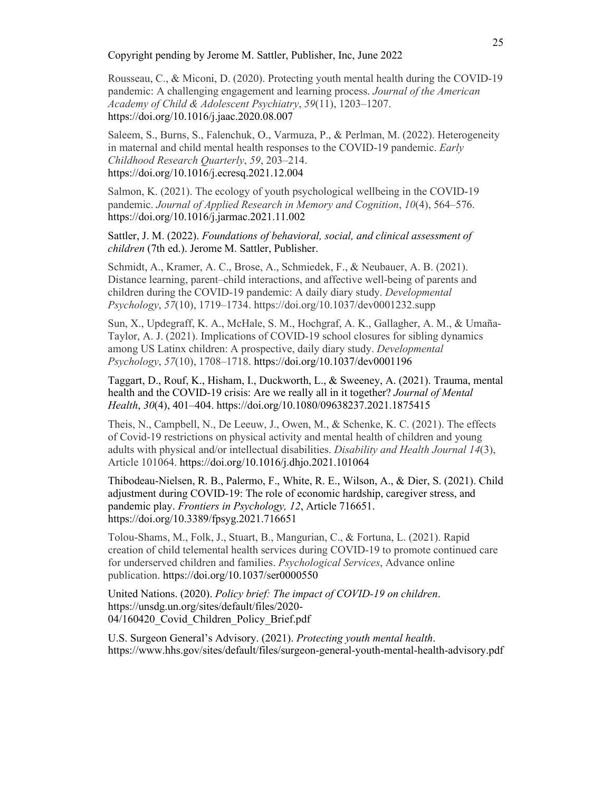Rousseau, C., & Miconi, D. (2020). Protecting youth mental health during the COVID-19 pandemic: A challenging engagement and learning process. *Journal of the American Academy of Child & Adolescent Psychiatry*, *59*(11), 1203–1207. https://doi.org/10.1016/j.jaac.2020.08.007

Saleem, S., Burns, S., Falenchuk, O., Varmuza, P., & Perlman, M. (2022). Heterogeneity in maternal and child mental health responses to the COVID-19 pandemic. *Early Childhood Research Quarterly*, *59*, 203–214. https://doi.org/10.1016/j.ecresq.2021.12.004

Salmon, K. (2021). The ecology of youth psychological wellbeing in the COVID-19 pandemic. *Journal of Applied Research in Memory and Cognition*, *10*(4), 564–576. https://doi.org/10.1016/j.jarmac.2021.11.002

Sattler, J. M. (2022). *Foundations of behavioral, social, and clinical assessment of children* (7th ed.). Jerome M. Sattler, Publisher.

Schmidt, A., Kramer, A. C., Brose, A., Schmiedek, F., & Neubauer, A. B. (2021). Distance learning, parent–child interactions, and affective well-being of parents and children during the COVID-19 pandemic: A daily diary study. *Developmental Psychology*, *57*(10), 1719–1734. https://doi.org/10.1037/dev0001232.supp

Sun, X., Updegraff, K. A., McHale, S. M., Hochgraf, A. K., Gallagher, A. M., & Umaña-Taylor, A. J. (2021). Implications of COVID-19 school closures for sibling dynamics among US Latinx children: A prospective, daily diary study. *Developmental Psychology*, *57*(10), 1708–1718. https://doi.org/10.1037/dev0001196

Taggart, D., Rouf, K., Hisham, I., Duckworth, L., & Sweeney, A. (2021). Trauma, mental health and the COVID-19 crisis: Are we really all in it together? *Journal of Mental Health*, *30*(4), 401–404. https://doi.org/10.1080/09638237.2021.1875415

Theis, N., Campbell, N., De Leeuw, J., Owen, M., & Schenke, K. C. (2021). The effects of Covid-19 restrictions on physical activity and mental health of children and young adults with physical and/or intellectual disabilities. *Disability and Health Journal 14*(3), Article 101064. https://doi.org/10.1016/j.dhjo.2021.101064

Thibodeau-Nielsen, R. B., Palermo, F., White, R. E., Wilson, A., & Dier, S. (2021). Child adjustment during COVID-19: The role of economic hardship, caregiver stress, and pandemic play. *Frontiers in Psychology, 12*, Article 716651. https://doi.org/10.3389/fpsyg.2021.716651

Tolou-Shams, M., Folk, J., Stuart, B., Mangurian, C., & Fortuna, L. (2021). Rapid creation of child telemental health services during COVID-19 to promote continued care for underserved children and families. *Psychological Services*, Advance online publication. https://doi.org/10.1037/ser0000550

United Nations. (2020). *Policy brief: The impact of COVID-19 on children*. https://unsdg.un.org/sites/default/files/2020- 04/160420 Covid Children Policy Brief.pdf

U.S. Surgeon General's Advisory. (2021). *Protecting youth mental health*. https://www.hhs.gov/sites/default/files/surgeon-general-youth-mental-health-advisory.pdf